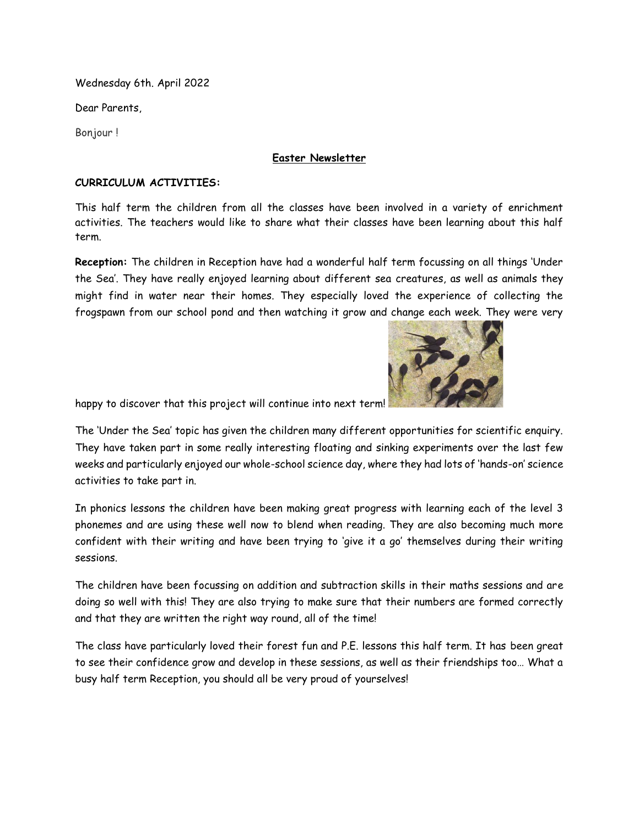Wednesday 6th. April 2022

Dear Parents,

Bonjour !

#### **Easter Newsletter**

#### **CURRICULUM ACTIVITIES:**

This half term the children from all the classes have been involved in a variety of enrichment activities. The teachers would like to share what their classes have been learning about this half term.

**Reception:** The children in Reception have had a wonderful half term focussing on all things 'Under the Sea'. They have really enjoyed learning about different sea creatures, as well as animals they might find in water near their homes. They especially loved the experience of collecting the frogspawn from our school pond and then watching it grow and change each week. They were very



happy to discover that this project will continue into next term!

The 'Under the Sea' topic has given the children many different opportunities for scientific enquiry. They have taken part in some really interesting floating and sinking experiments over the last few weeks and particularly enjoyed our whole-school science day, where they had lots of 'hands-on' science activities to take part in.

In phonics lessons the children have been making great progress with learning each of the level 3 phonemes and are using these well now to blend when reading. They are also becoming much more confident with their writing and have been trying to 'give it a go' themselves during their writing sessions.

The children have been focussing on addition and subtraction skills in their maths sessions and are doing so well with this! They are also trying to make sure that their numbers are formed correctly and that they are written the right way round, all of the time!

The class have particularly loved their forest fun and P.E. lessons this half term. It has been great to see their confidence grow and develop in these sessions, as well as their friendships too… What a busy half term Reception, you should all be very proud of yourselves!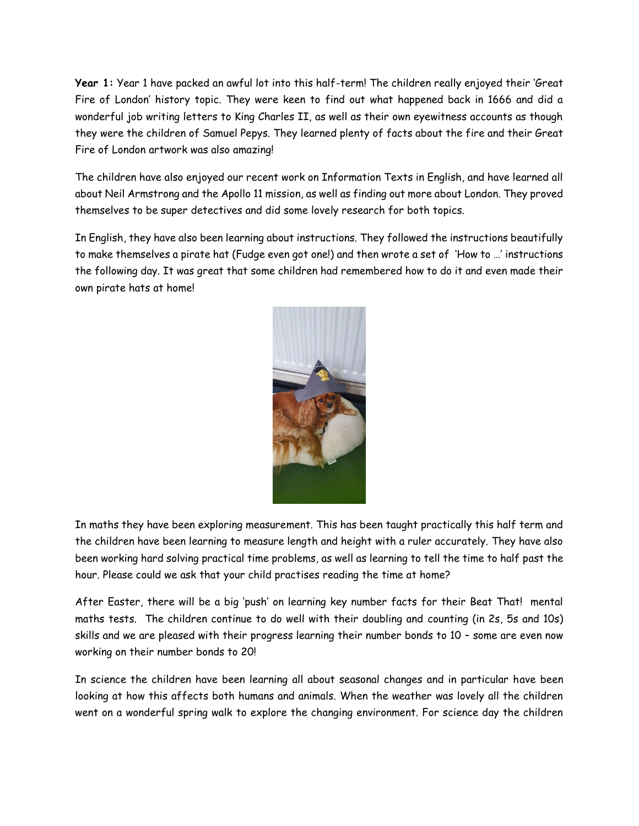**Year 1:** Year 1 have packed an awful lot into this half-term! The children really enjoyed their 'Great Fire of London' history topic. They were keen to find out what happened back in 1666 and did a wonderful job writing letters to King Charles II, as well as their own eyewitness accounts as though they were the children of Samuel Pepys. They learned plenty of facts about the fire and their Great Fire of London artwork was also amazing!

The children have also enjoyed our recent work on Information Texts in English, and have learned all about Neil Armstrong and the Apollo 11 mission, as well as finding out more about London. They proved themselves to be super detectives and did some lovely research for both topics.

In English, they have also been learning about instructions. They followed the instructions beautifully to make themselves a pirate hat (Fudge even got one!) and then wrote a set of 'How to …' instructions the following day. It was great that some children had remembered how to do it and even made their own pirate hats at home!



In maths they have been exploring measurement. This has been taught practically this half term and the children have been learning to measure length and height with a ruler accurately. They have also been working hard solving practical time problems, as well as learning to tell the time to half past the hour. Please could we ask that your child practises reading the time at home?

After Easter, there will be a big 'push' on learning key number facts for their Beat That! mental maths tests. The children continue to do well with their doubling and counting (in 2s, 5s and 10s) skills and we are pleased with their progress learning their number bonds to 10 – some are even now working on their number bonds to 20!

In science the children have been learning all about seasonal changes and in particular have been looking at how this affects both humans and animals. When the weather was lovely all the children went on a wonderful spring walk to explore the changing environment. For science day the children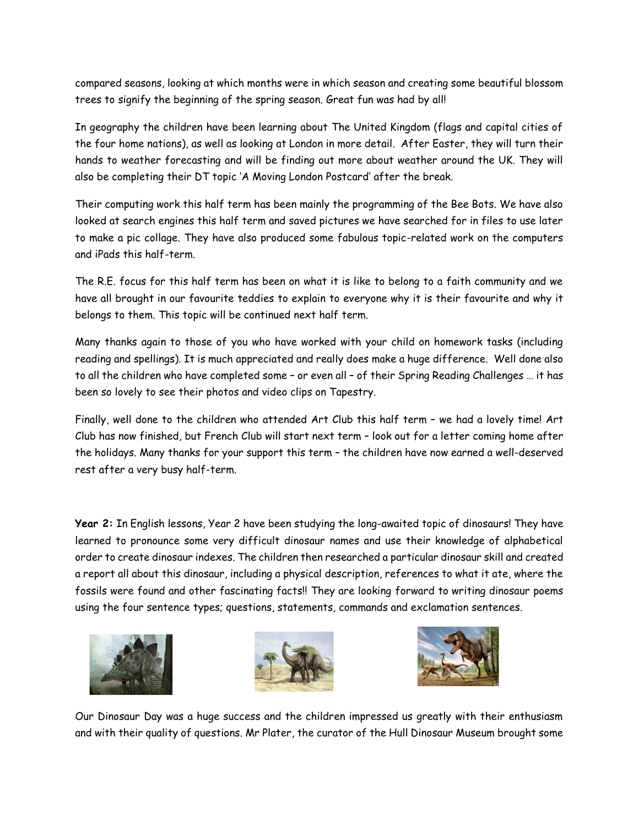compared seasons, looking at which months were in which season and creating some beautiful blossom trees to signify the beginning of the spring season. Great fun was had by all!

In geography the children have been learning about The United Kingdom (flags and capital cities of the four home nations), as well as looking at London in more detail. After Easter, they will turn their hands to weather forecasting and will be finding out more about weather around the UK. They will also be completing their DT topic 'A Moving London Postcard' after the break.

Their computing work this half term has been mainly the programming of the Bee Bots. We have also looked at search engines this half term and saved pictures we have searched for in files to use later to make a pic collage. They have also produced some fabulous topic-related work on the computers and iPads this half-term.

The R.E. focus for this half term has been on what it is like to belong to a faith community and we have all brought in our favourite teddies to explain to everyone why it is their favourite and why it belongs to them. This topic will be continued next half term.

Many thanks again to those of you who have worked with your child on homework tasks (including reading and spellings). It is much appreciated and really does make a huge difference. Well done also to all the children who have completed some – or even all – of their Spring Reading Challenges … it has been so lovely to see their photos and video clips on Tapestry.

Finally, well done to the children who attended Art Club this half term – we had a lovely time! Art Club has now finished, but French Club will start next term – look out for a letter coming home after the holidays. Many thanks for your support this term – the children have now earned a well-deserved rest after a very busy half-term.

**Year 2:** In English lessons, Year 2 have been studying the long-awaited topic of dinosaurs! They have learned to pronounce some very difficult dinosaur names and use their knowledge of alphabetical order to create dinosaur indexes. The children then researched a particular dinosaur skill and created a report all about this dinosaur, including a physical description, references to what it ate, where the fossils were found and other fascinating facts!! They are looking forward to writing dinosaur poems using the four sentence types; questions, statements, commands and exclamation sentences.







Our Dinosaur Day was a huge success and the children impressed us greatly with their enthusiasm and with their quality of questions. Mr Plater, the curator of the Hull Dinosaur Museum brought some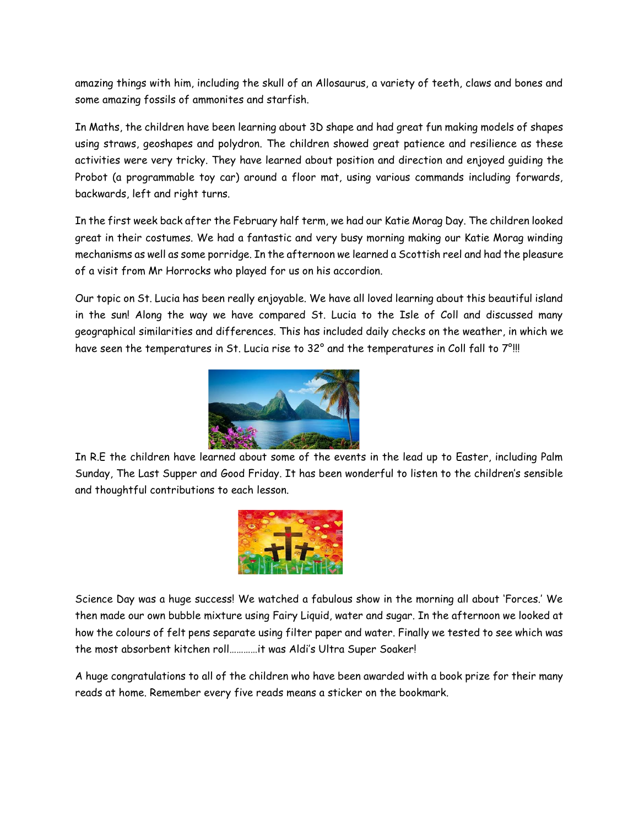amazing things with him, including the skull of an Allosaurus, a variety of teeth, claws and bones and some amazing fossils of ammonites and starfish.

In Maths, the children have been learning about 3D shape and had great fun making models of shapes using straws, geoshapes and polydron. The children showed great patience and resilience as these activities were very tricky. They have learned about position and direction and enjoyed guiding the Probot (a programmable toy car) around a floor mat, using various commands including forwards, backwards, left and right turns.

In the first week back after the February half term, we had our Katie Morag Day. The children looked great in their costumes. We had a fantastic and very busy morning making our Katie Morag winding mechanisms as well as some porridge. In the afternoon we learned a Scottish reel and had the pleasure of a visit from Mr Horrocks who played for us on his accordion.

Our topic on St. Lucia has been really enjoyable. We have all loved learning about this beautiful island in the sun! Along the way we have compared St. Lucia to the Isle of Coll and discussed many geographical similarities and differences. This has included daily checks on the weather, in which we have seen the temperatures in St. Lucia rise to 32° and the temperatures in Coll fall to 7°!!!



In R.E the children have learned about some of the events in the lead up to Easter, including Palm Sunday, The Last Supper and Good Friday. It has been wonderful to listen to the children's sensible and thoughtful contributions to each lesson.



Science Day was a huge success! We watched a fabulous show in the morning all about 'Forces.' We then made our own bubble mixture using Fairy Liquid, water and sugar. In the afternoon we looked at how the colours of felt pens separate using filter paper and water. Finally we tested to see which was the most absorbent kitchen roll…………it was Aldi's Ultra Super Soaker!

A huge congratulations to all of the children who have been awarded with a book prize for their many reads at home. Remember every five reads means a sticker on the bookmark.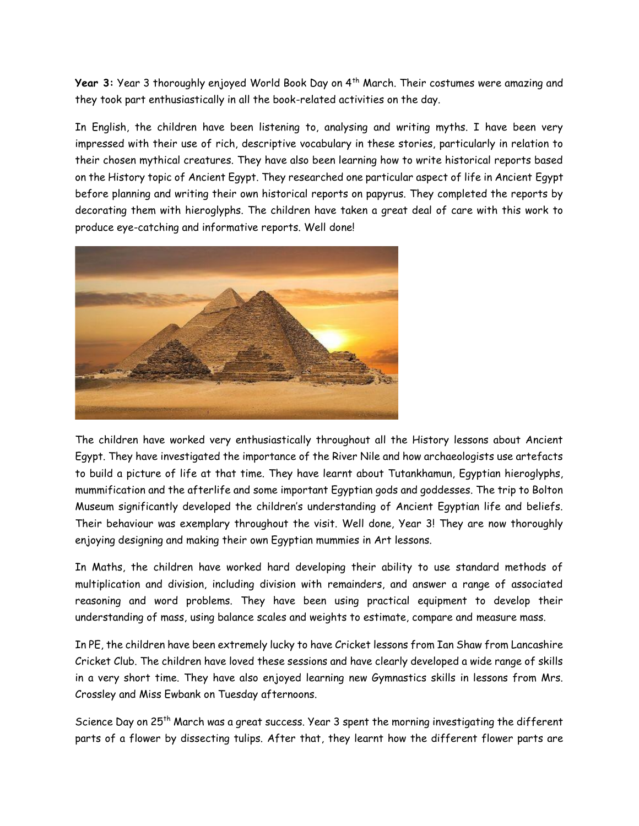Year 3: Year 3 thoroughly enjoyed World Book Day on 4<sup>th</sup> March. Their costumes were amazing and they took part enthusiastically in all the book-related activities on the day.

In English, the children have been listening to, analysing and writing myths. I have been very impressed with their use of rich, descriptive vocabulary in these stories, particularly in relation to their chosen mythical creatures. They have also been learning how to write historical reports based on the History topic of Ancient Egypt. They researched one particular aspect of life in Ancient Egypt before planning and writing their own historical reports on papyrus. They completed the reports by decorating them with hieroglyphs. The children have taken a great deal of care with this work to produce eye-catching and informative reports. Well done!



The children have worked very enthusiastically throughout all the History lessons about Ancient Egypt. They have investigated the importance of the River Nile and how archaeologists use artefacts to build a picture of life at that time. They have learnt about Tutankhamun, Egyptian hieroglyphs, mummification and the afterlife and some important Egyptian gods and goddesses. The trip to Bolton Museum significantly developed the children's understanding of Ancient Egyptian life and beliefs. Their behaviour was exemplary throughout the visit. Well done, Year 3! They are now thoroughly enjoying designing and making their own Egyptian mummies in Art lessons.

In Maths, the children have worked hard developing their ability to use standard methods of multiplication and division, including division with remainders, and answer a range of associated reasoning and word problems. They have been using practical equipment to develop their understanding of mass, using balance scales and weights to estimate, compare and measure mass.

In PE, the children have been extremely lucky to have Cricket lessons from Ian Shaw from Lancashire Cricket Club. The children have loved these sessions and have clearly developed a wide range of skills in a very short time. They have also enjoyed learning new Gymnastics skills in lessons from Mrs. Crossley and Miss Ewbank on Tuesday afternoons.

Science Day on 25<sup>th</sup> March was a great success. Year 3 spent the morning investigating the different parts of a flower by dissecting tulips. After that, they learnt how the different flower parts are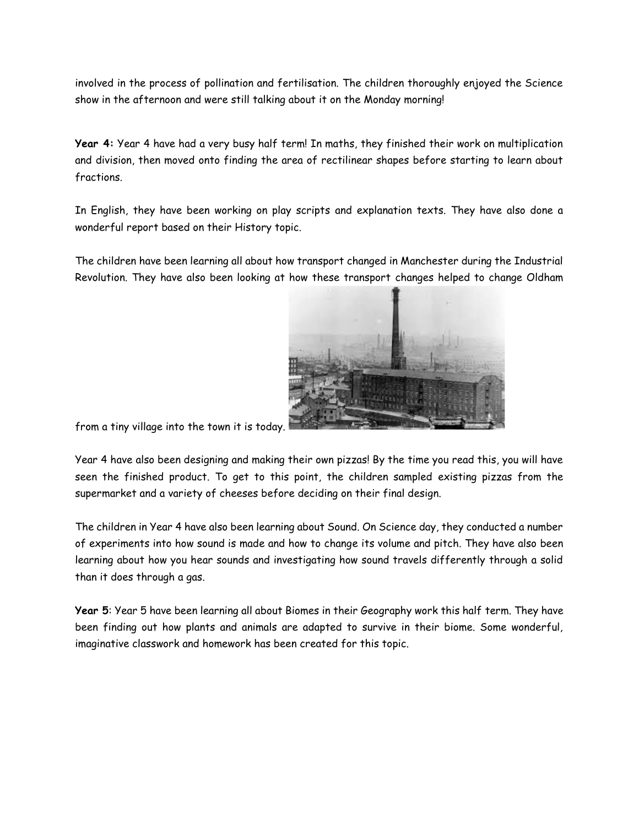involved in the process of pollination and fertilisation. The children thoroughly enjoyed the Science show in the afternoon and were still talking about it on the Monday morning!

**Year 4:** Year 4 have had a very busy half term! In maths, they finished their work on multiplication and division, then moved onto finding the area of rectilinear shapes before starting to learn about fractions.

In English, they have been working on play scripts and explanation texts. They have also done a wonderful report based on their History topic.

The children have been learning all about how transport changed in Manchester during the Industrial Revolution. They have also been looking at how these transport changes helped to change Oldham



from a tiny village into the town it is today.

Year 4 have also been designing and making their own pizzas! By the time you read this, you will have seen the finished product. To get to this point, the children sampled existing pizzas from the supermarket and a variety of cheeses before deciding on their final design.

The children in Year 4 have also been learning about Sound. On Science day, they conducted a number of experiments into how sound is made and how to change its volume and pitch. They have also been learning about how you hear sounds and investigating how sound travels differently through a solid than it does through a gas.

**Year 5**: Year 5 have been learning all about Biomes in their Geography work this half term. They have been finding out how plants and animals are adapted to survive in their biome. Some wonderful, imaginative classwork and homework has been created for this topic.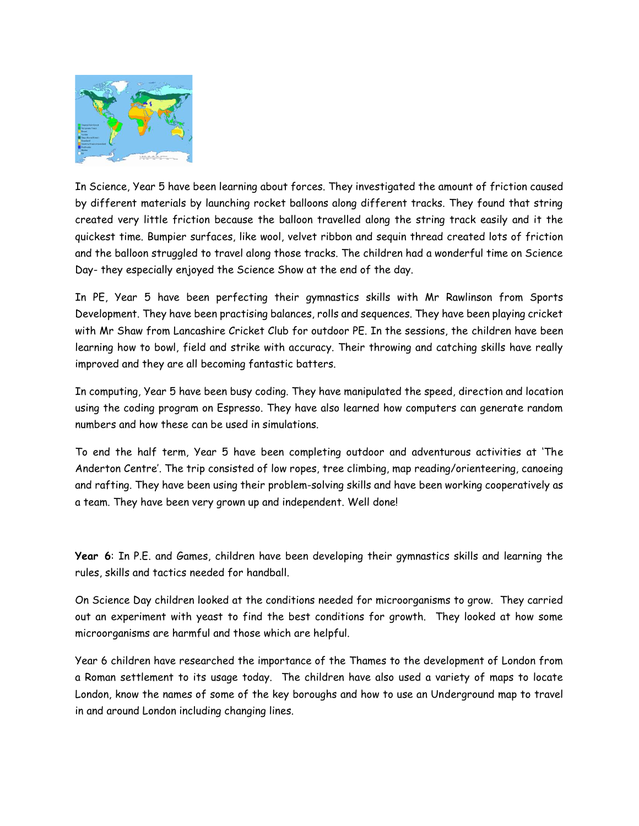

In Science, Year 5 have been learning about forces. They investigated the amount of friction caused by different materials by launching rocket balloons along different tracks. They found that string created very little friction because the balloon travelled along the string track easily and it the quickest time. Bumpier surfaces, like wool, velvet ribbon and sequin thread created lots of friction and the balloon struggled to travel along those tracks. The children had a wonderful time on Science Day- they especially enjoyed the Science Show at the end of the day.

In PE, Year 5 have been perfecting their gymnastics skills with Mr Rawlinson from Sports Development. They have been practising balances, rolls and sequences. They have been playing cricket with Mr Shaw from Lancashire Cricket Club for outdoor PE. In the sessions, the children have been learning how to bowl, field and strike with accuracy. Their throwing and catching skills have really improved and they are all becoming fantastic batters.

In computing, Year 5 have been busy coding. They have manipulated the speed, direction and location using the coding program on Espresso. They have also learned how computers can generate random numbers and how these can be used in simulations.

To end the half term, Year 5 have been completing outdoor and adventurous activities at 'The Anderton Centre'. The trip consisted of low ropes, tree climbing, map reading/orienteering, canoeing and rafting. They have been using their problem-solving skills and have been working cooperatively as a team. They have been very grown up and independent. Well done!

**Year 6**: In P.E. and Games, children have been developing their gymnastics skills and learning the rules, skills and tactics needed for handball.

On Science Day children looked at the conditions needed for microorganisms to grow. They carried out an experiment with yeast to find the best conditions for growth. They looked at how some microorganisms are harmful and those which are helpful.

Year 6 children have researched the importance of the Thames to the development of London from a Roman settlement to its usage today. The children have also used a variety of maps to locate London, know the names of some of the key boroughs and how to use an Underground map to travel in and around London including changing lines.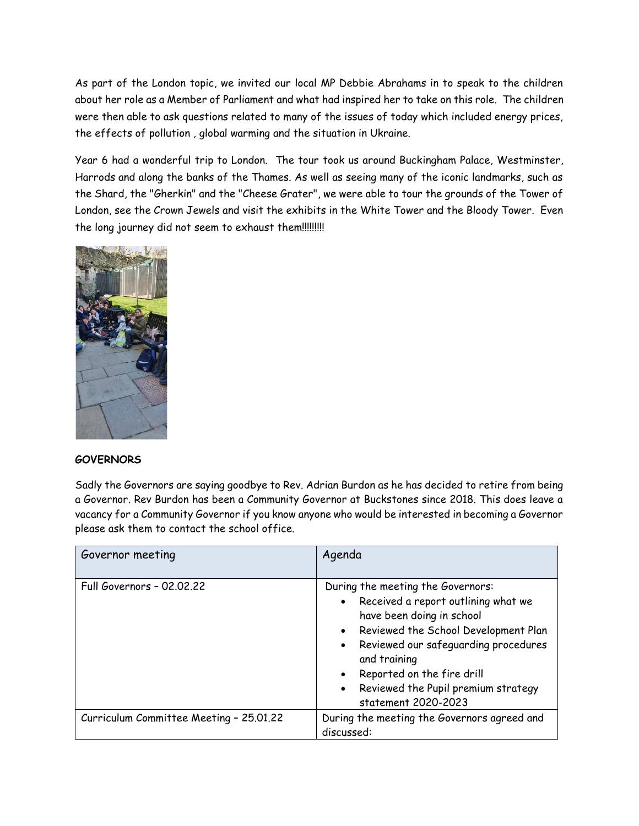As part of the London topic, we invited our local MP Debbie Abrahams in to speak to the children about her role as a Member of Parliament and what had inspired her to take on this role. The children were then able to ask questions related to many of the issues of today which included energy prices, the effects of pollution , global warming and the situation in Ukraine.

Year 6 had a wonderful trip to London. The tour took us around Buckingham Palace, Westminster, Harrods and along the banks of the Thames. As well as seeing many of the iconic landmarks, such as the Shard, the "Gherkin" and the "Cheese Grater", we were able to tour the grounds of the Tower of London, see the Crown Jewels and visit the exhibits in the White Tower and the Bloody Tower. Even the long journey did not seem to exhaust them!!!!!!!!!!



#### **GOVERNORS**

Sadly the Governors are saying goodbye to Rev. Adrian Burdon as he has decided to retire from being a Governor. Rev Burdon has been a Community Governor at Buckstones since 2018. This does leave a vacancy for a Community Governor if you know anyone who would be interested in becoming a Governor please ask them to contact the school office.

| Governor meeting                        | Agenda                                                                                                                                                                                                                                                                                                                            |
|-----------------------------------------|-----------------------------------------------------------------------------------------------------------------------------------------------------------------------------------------------------------------------------------------------------------------------------------------------------------------------------------|
| <b>Full Governors - 02.02.22</b>        | During the meeting the Governors:<br>• Received a report outlining what we<br>have been doing in school<br>• Reviewed the School Development Plan<br>• Reviewed our safeguarding procedures<br>and training<br>Reported on the fire drill<br>$\bullet$<br>Reviewed the Pupil premium strategy<br>$\bullet$<br>statement 2020-2023 |
| Curriculum Committee Meeting - 25.01.22 | During the meeting the Governors agreed and<br>discussed:                                                                                                                                                                                                                                                                         |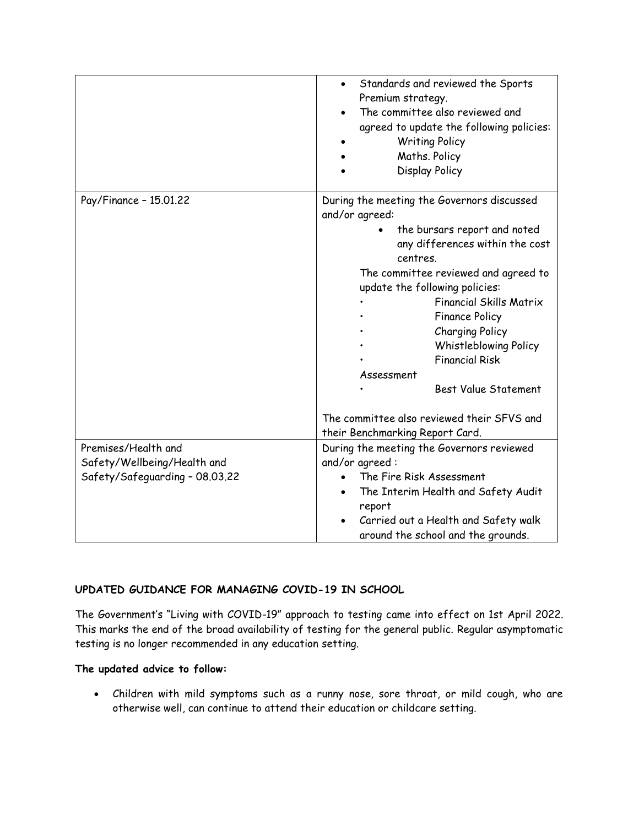|                                | Standards and reviewed the Sports<br>$\bullet$<br>Premium strategy.<br>The committee also reviewed and<br>agreed to update the following policies:<br><b>Writing Policy</b><br>Maths. Policy<br>Display Policy                                                                                                                                                                                                                                                                             |
|--------------------------------|--------------------------------------------------------------------------------------------------------------------------------------------------------------------------------------------------------------------------------------------------------------------------------------------------------------------------------------------------------------------------------------------------------------------------------------------------------------------------------------------|
| Pay/Finance - 15.01.22         | During the meeting the Governors discussed<br>and/or agreed:<br>the bursars report and noted<br>any differences within the cost<br>centres.<br>The committee reviewed and agreed to<br>update the following policies:<br><b>Financial Skills Matrix</b><br><b>Finance Policy</b><br><b>Charging Policy</b><br><b>Whistleblowing Policy</b><br><b>Financial Risk</b><br>Assessment<br>Best Value Statement<br>The committee also reviewed their SFVS and<br>their Benchmarking Report Card. |
| Premises/Health and            | During the meeting the Governors reviewed                                                                                                                                                                                                                                                                                                                                                                                                                                                  |
| Safety/Wellbeing/Health and    | and/or agreed:                                                                                                                                                                                                                                                                                                                                                                                                                                                                             |
| Safety/Safeguarding - 08.03.22 | The Fire Risk Assessment<br>The Interim Health and Safety Audit<br>report<br>Carried out a Health and Safety walk<br>around the school and the grounds.                                                                                                                                                                                                                                                                                                                                    |

## **UPDATED GUIDANCE FOR MANAGING COVID-19 IN SCHOOL**

The Government's "Living with COVID-19" approach to testing came into effect on 1st April 2022. This marks the end of the broad availability of testing for the general public. Regular asymptomatic testing is no longer recommended in any education setting.

#### **The updated advice to follow:**

• Children with mild symptoms such as a runny nose, sore throat, or mild cough, who are otherwise well, can continue to attend their education or childcare setting.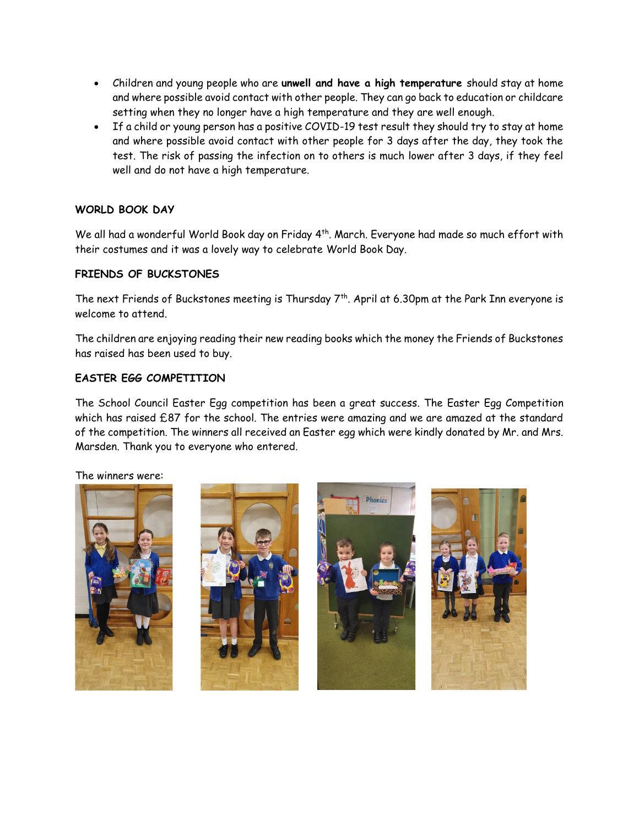- Children and young people who are **unwell and have a high temperature** should stay at home and where possible avoid contact with other people. They can go back to education or childcare setting when they no longer have a high temperature and they are well enough.
- If a child or young person has a positive COVID-19 test result they should try to stay at home and where possible avoid contact with other people for 3 days after the day, they took the test. The risk of passing the infection on to others is much lower after 3 days, if they feel well and do not have a high temperature.

## **WORLD BOOK DAY**

We all had a wonderful World Book day on Friday 4<sup>th</sup>. March. Everyone had made so much effort with their costumes and it was a lovely way to celebrate World Book Day.

## **FRIENDS OF BUCKSTONES**

The next Friends of Buckstones meeting is Thursday  $7<sup>th</sup>$ . April at 6.30pm at the Park Inn everyone is welcome to attend.

The children are enjoying reading their new reading books which the money the Friends of Buckstones has raised has been used to buy.

### **EASTER EGG COMPETITION**

The School Council Easter Egg competition has been a great success. The Easter Egg Competition which has raised £87 for the school. The entries were amazing and we are amazed at the standard of the competition. The winners all received an Easter egg which were kindly donated by Mr. and Mrs. Marsden. Thank you to everyone who entered.

The winners were: